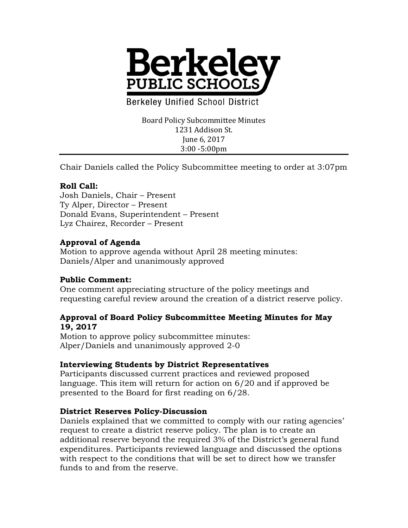

**Berkeley Unified School District** 

Board Policy Subcommittee Minutes 1231 Addison St. June 6, 2017 3:00 -5:00pm

Chair Daniels called the Policy Subcommittee meeting to order at 3:07pm

## **Roll Call:**

Josh Daniels, Chair – Present Ty Alper, Director – Present Donald Evans, Superintendent – Present Lyz Chairez, Recorder – Present

### **Approval of Agenda**

Motion to approve agenda without April 28 meeting minutes: Daniels/Alper and unanimously approved

# **Public Comment:**

One comment appreciating structure of the policy meetings and requesting careful review around the creation of a district reserve policy.

#### **Approval of Board Policy Subcommittee Meeting Minutes for May 19, 2017**

Motion to approve policy subcommittee minutes: Alper/Daniels and unanimously approved 2-0

# **Interviewing Students by District Representatives**

Participants discussed current practices and reviewed proposed language. This item will return for action on 6/20 and if approved be presented to the Board for first reading on 6/28.

### **District Reserves Policy-Discussion**

Daniels explained that we committed to comply with our rating agencies' request to create a district reserve policy. The plan is to create an additional reserve beyond the required 3% of the District's general fund expenditures. Participants reviewed language and discussed the options with respect to the conditions that will be set to direct how we transfer funds to and from the reserve.